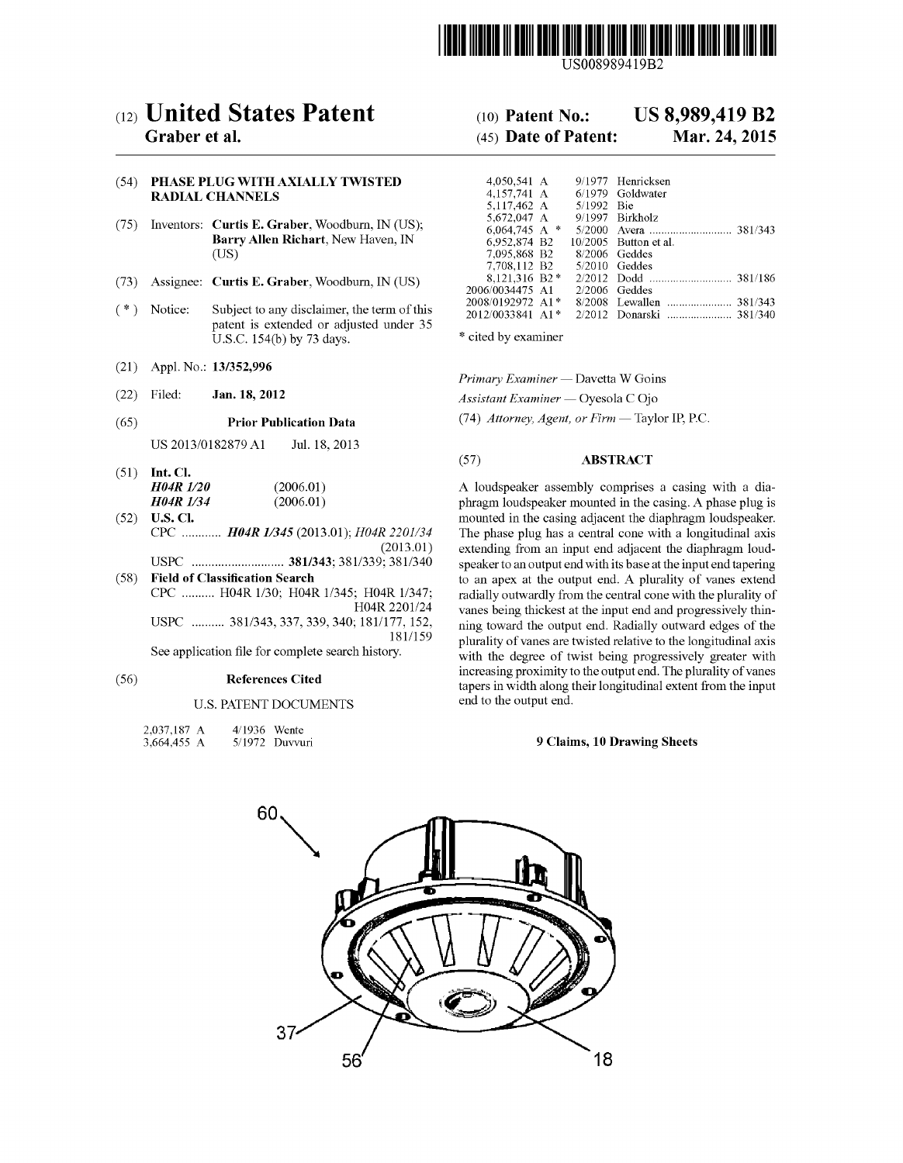

US008989419B2

# (12) United States Patent (10) Patent No.: US 8,989,419 B2<br>Graber et al. (45) Date of Patent: Mar. 24, 2015

## (54) PHASE PLUG WITH AXIALLY TWISTED RADIAL CHANNELS

- (75) Inventors: Curtis E. Graber, Woodburn, IN (US); Barry Allen Richart, New Haven, IN (US)
- (73) Assignee: Curtis E. Graber, Woodburn, IN (US)
- $(* )$  Notice: Subject to any disclaimer, the term of this patent is extended or adjusted under 35 U.S.C.  $154(b)$  by 73 days. \* cited by examiner
- 
- 

US 2013/0182879 A1 Jul. 18, 2013

| $(51)$ Int. Cl.  |           |
|------------------|-----------|
| <b>H04R 1/20</b> | (2006.01) |
| <b>H04R 1/34</b> | (2006.01) |

- 
- 

# U.S. PATENT DOCUMENTS end to the output end.

| 2,037,187 A | 4/1936 Wente |                  |
|-------------|--------------|------------------|
| 3,664,455 A |              | $5/1972$ Duvvuri |

# $(45)$  Date of Patent:

| UG WITH AXIALLY TWISTED.                    | 4.050.541 A                     |            | 9/1977 Henricksen       |
|---------------------------------------------|---------------------------------|------------|-------------------------|
| <b>HANNELS</b>                              | 4.157.741 A 6/1979 Goldwater    |            |                         |
|                                             | 5.117.462 A                     | 5/1992 Bie |                         |
|                                             | 5,672,047 A                     |            | 9/1997 Birkholz         |
| Curtis E. Graber, Woodburn, IN (US);        | 6.064.745 A $*$                 |            |                         |
| <b>Barry Allen Richart</b> , New Haven, IN  | 6,952,874 B2                    |            | $10/2005$ Button et al. |
| (US)                                        | 7.095.868 B2 8/2006 Geddes      |            |                         |
|                                             | 7.708.112 B2                    |            | $5/2010$ Geddes         |
| Curtis E. Graber, Woodburn, IN (US)         | 8.121.316 B2*                   |            |                         |
|                                             | 2006/0034475 A1                 |            | $2/2006$ Geddes         |
|                                             | 2008/0192972 A1*                |            |                         |
| Subject to any disclaimer, the term of this | $2012/0033841$ A <sub>1</sub> * |            | 2/2012 Donarski 381/340 |

(21) Appl. No.:  $13/352,996$ <br>
Primary Examiner — Davetta W Goins<br>
(22) Filed: **Jan. 18, 2012**<br>
Assistant Examiner — Ovesola C Oio

 $\Delta$ ssistant Examiner — Oyesola COjo

(65) **Prior Publication Data** (74) Attorney, Agent, or Firm — Taylor IP, P.C.

# (57) ABSTRACT

A loudspeaker assembly comprises a casing with a dia-*H04R 1/34* (2006.01) phragm loudspeaker mounted in the casing. A phase plug is mounted in the casing adjacent the diaphragm loudspeaker. U.S. Cl.<br>CPC ............ **H04R** 1/345 (2013.01);  $H04R$  2201/34 The phase plug has a central cone with a longitudinal axis  $R$  2201/34 The phase plug has a central cone with a longitudinal axis (2013.01) extending from an input end adjacent the diaphragm loud-(2013.01) extending from an input end adjacent the diaphragm loud USPC - - - - - - - - - - - - - - - - - - - - - - - - - - - - 381/343; 38 1/339; 381 (340 speaker to an output end with its base at the input end tapering Field of Classification Search<br>
CPC .......... H04R 1/30; H04R 1/345; H04R 1/347; radially outwardly from the central cone with the plurality of CPC .......... H04R 1/30; H04R 1/345; H04R 1/347; radially outwardly from the central cone with the plurality of HO4R 2201/24 vanes being thickest at the input end and progressively thin-<br>USPC ........... 381/343, 337, 339, 340; 181/177, 152, inno toward the output end. Radially outward edges of the 177, 152, in the output end. Radially outward edges of the  $181/159$  nurslity of vance are twisted relative to the longitudinal axis 181/159 plurality of vanes are twisted relative to the longitudinal axis<br>See application file for complete search history. with the degree of twist being progressively greater with increasing proximity to the output end. The plurality of vanes (56) References Cited the tapers in width along their longitudinal extent from the input

## 9 Claims, 10 Drawing Sheets

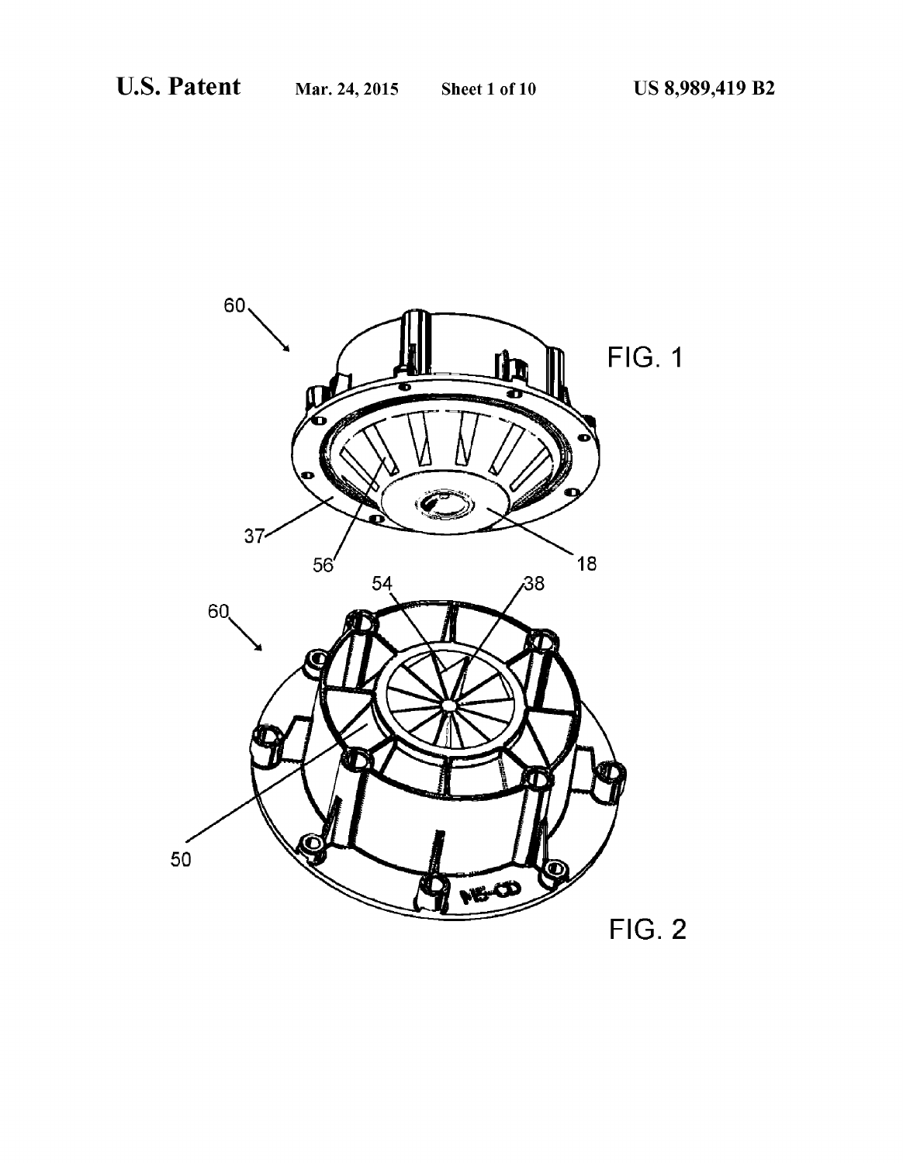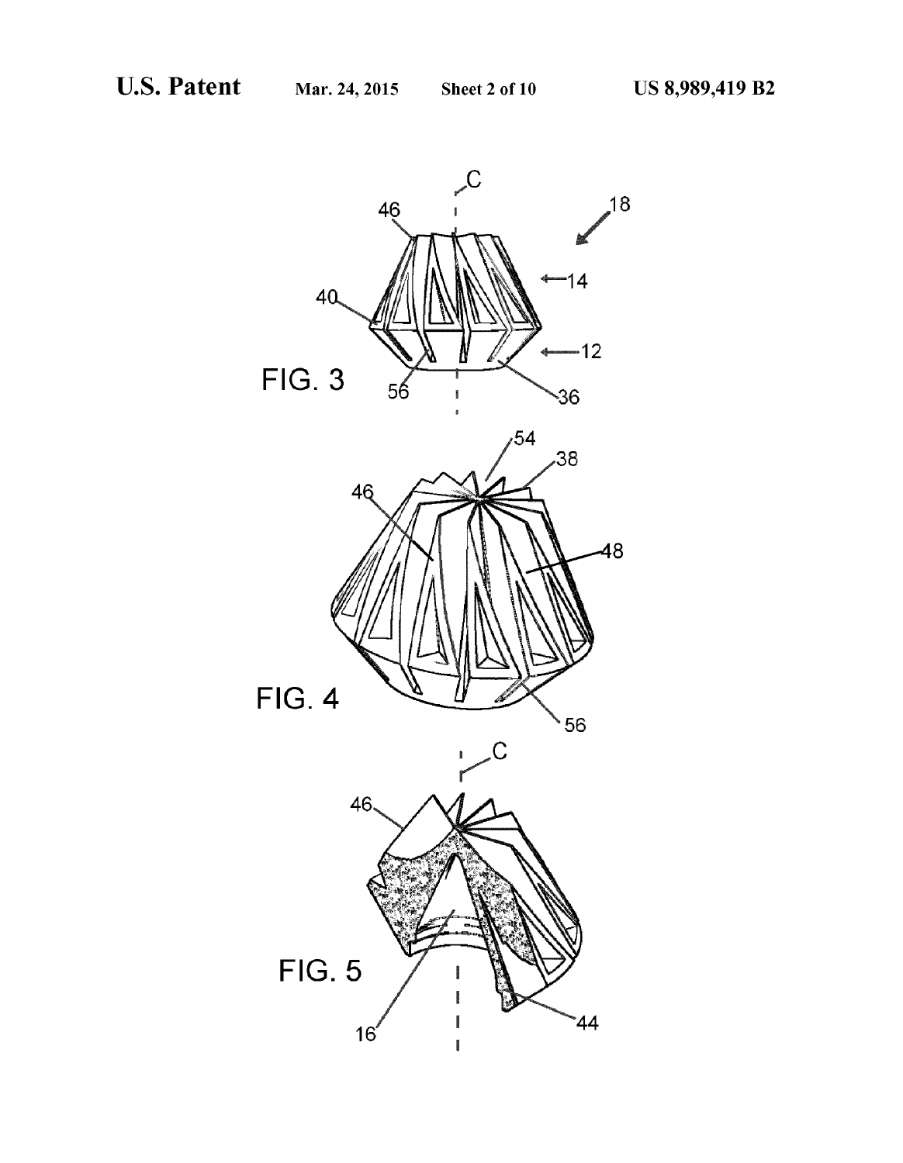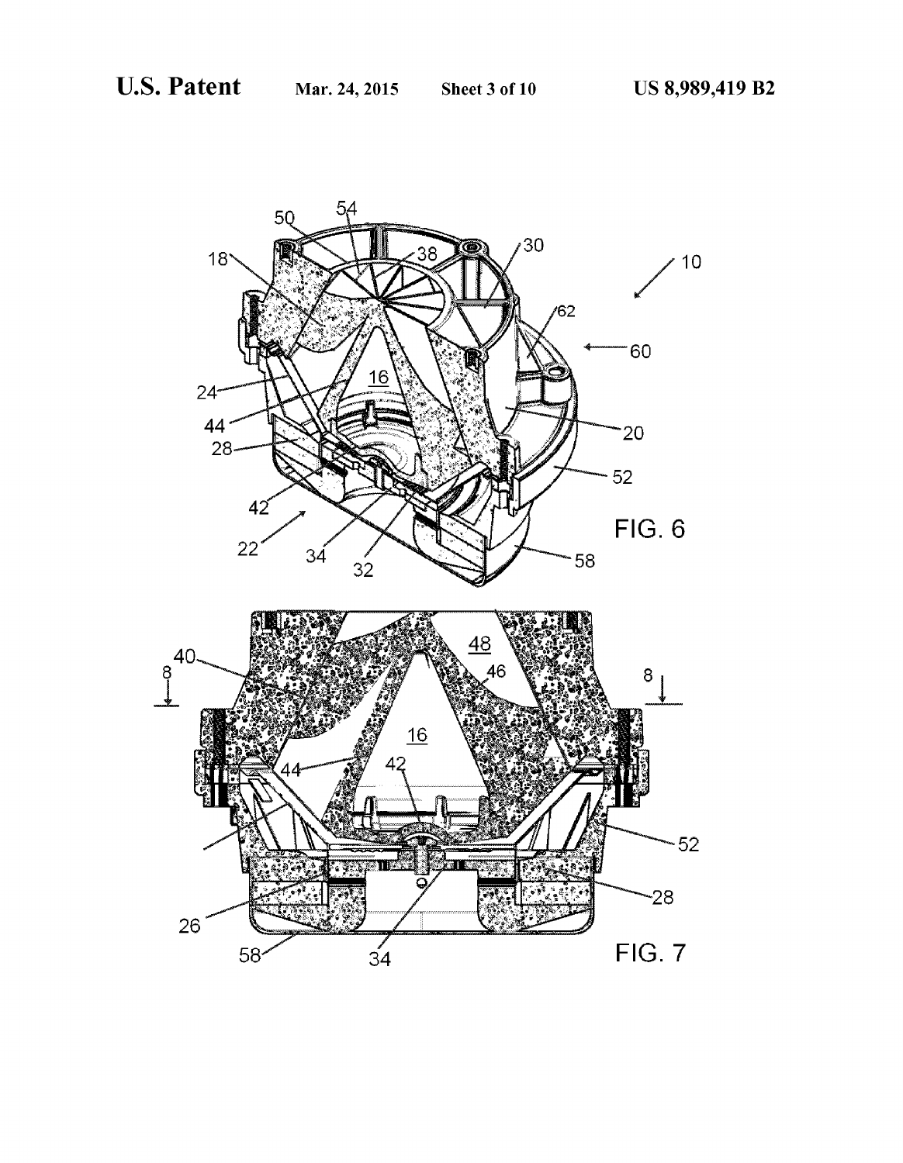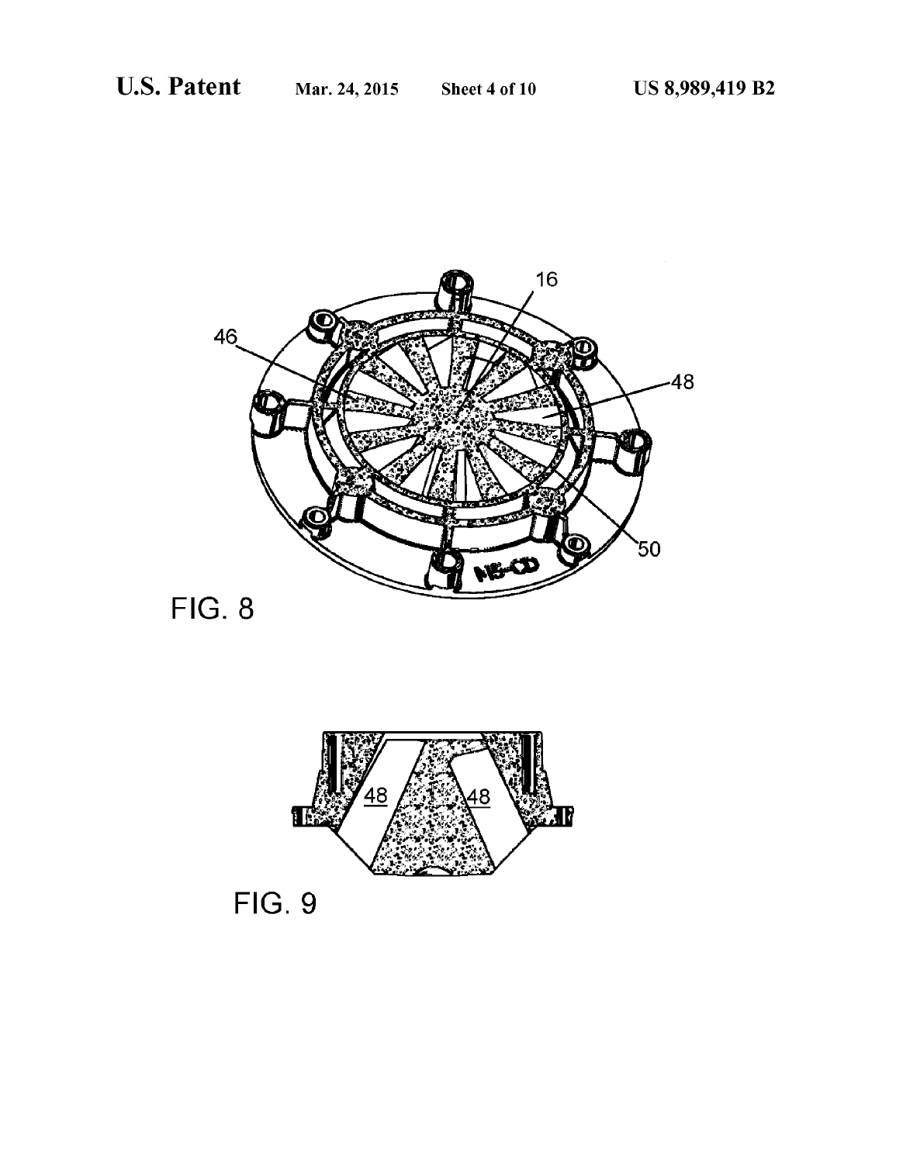

**FIG. 8** 



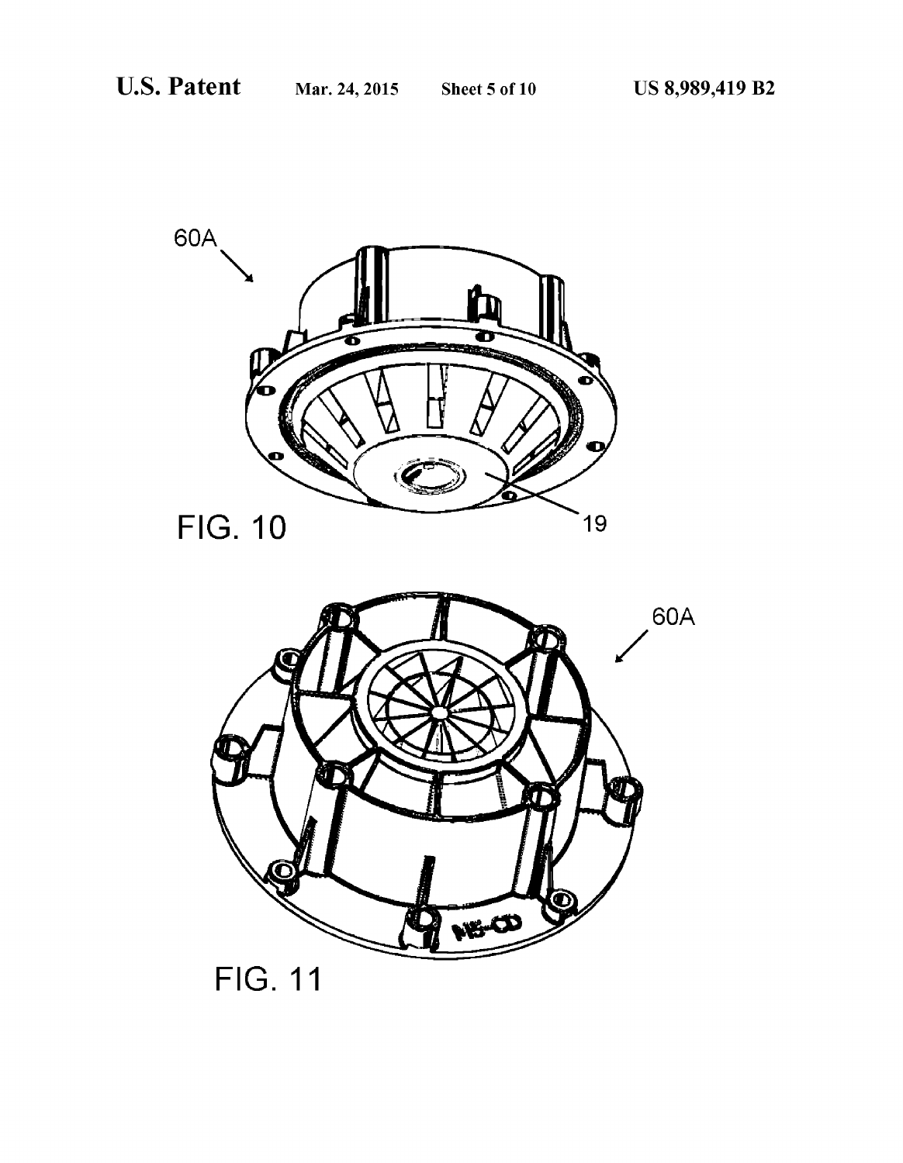



**FIG. 11**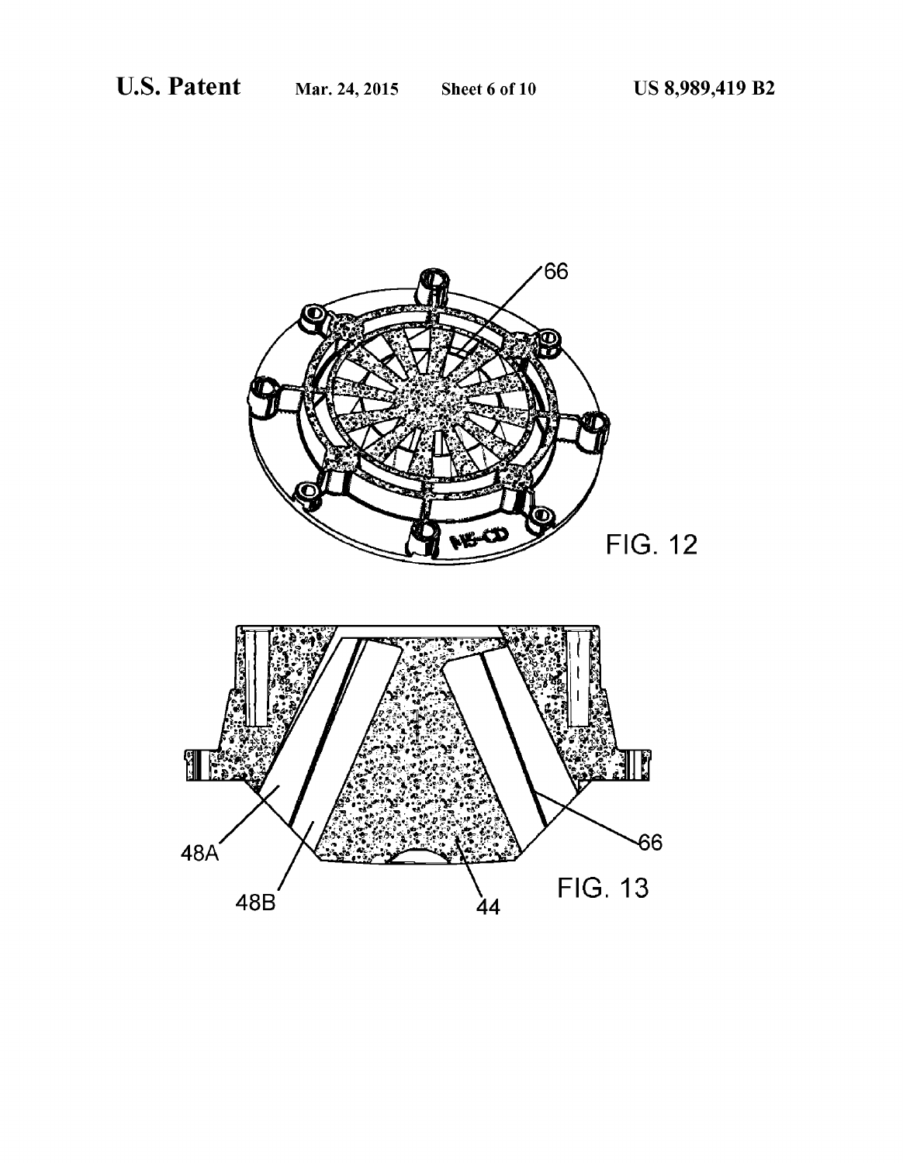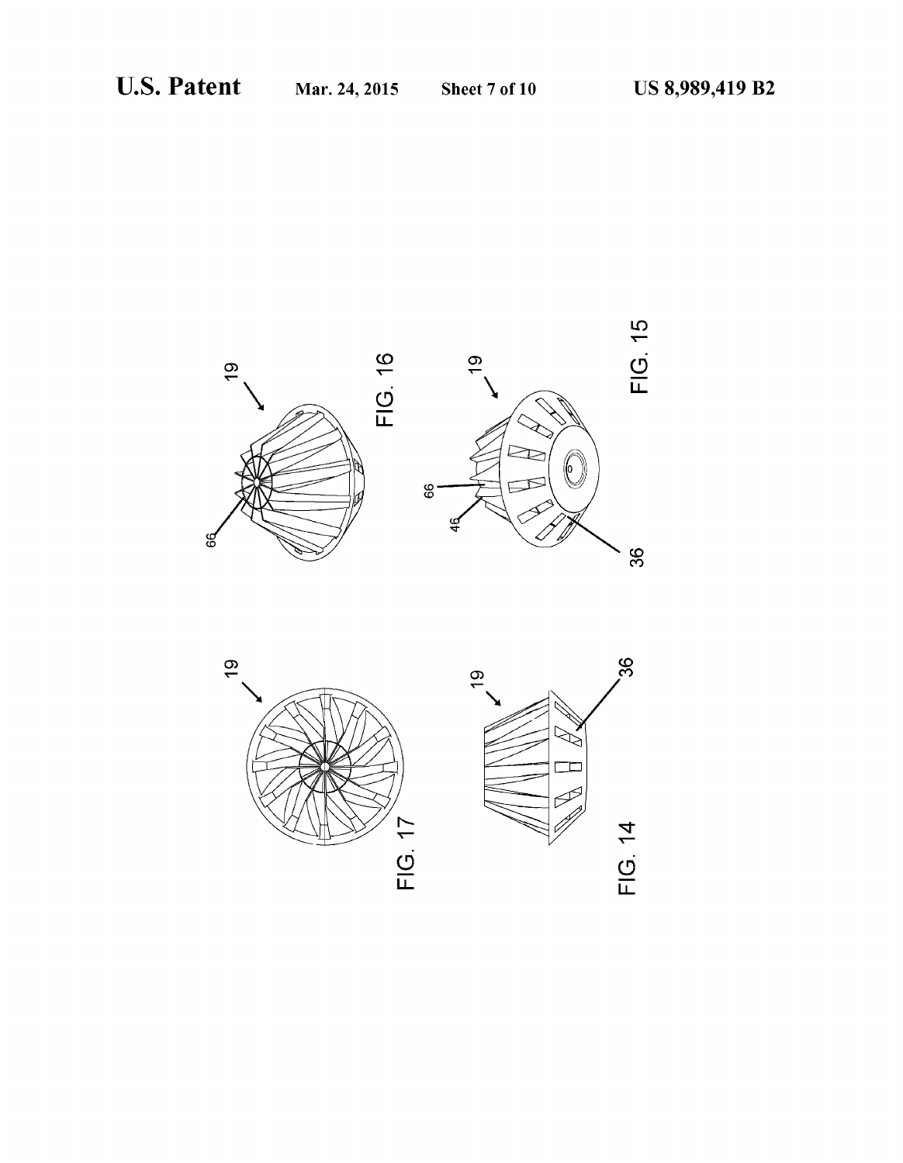

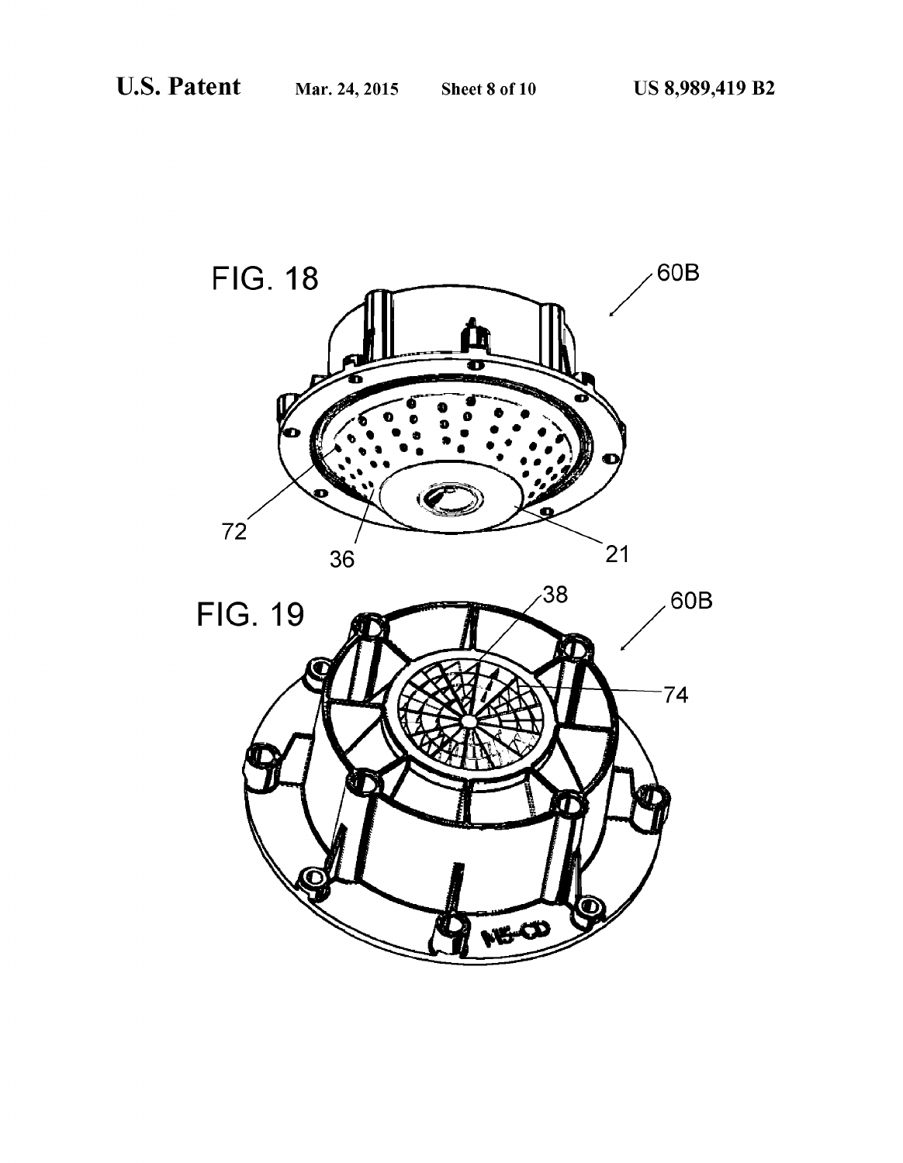

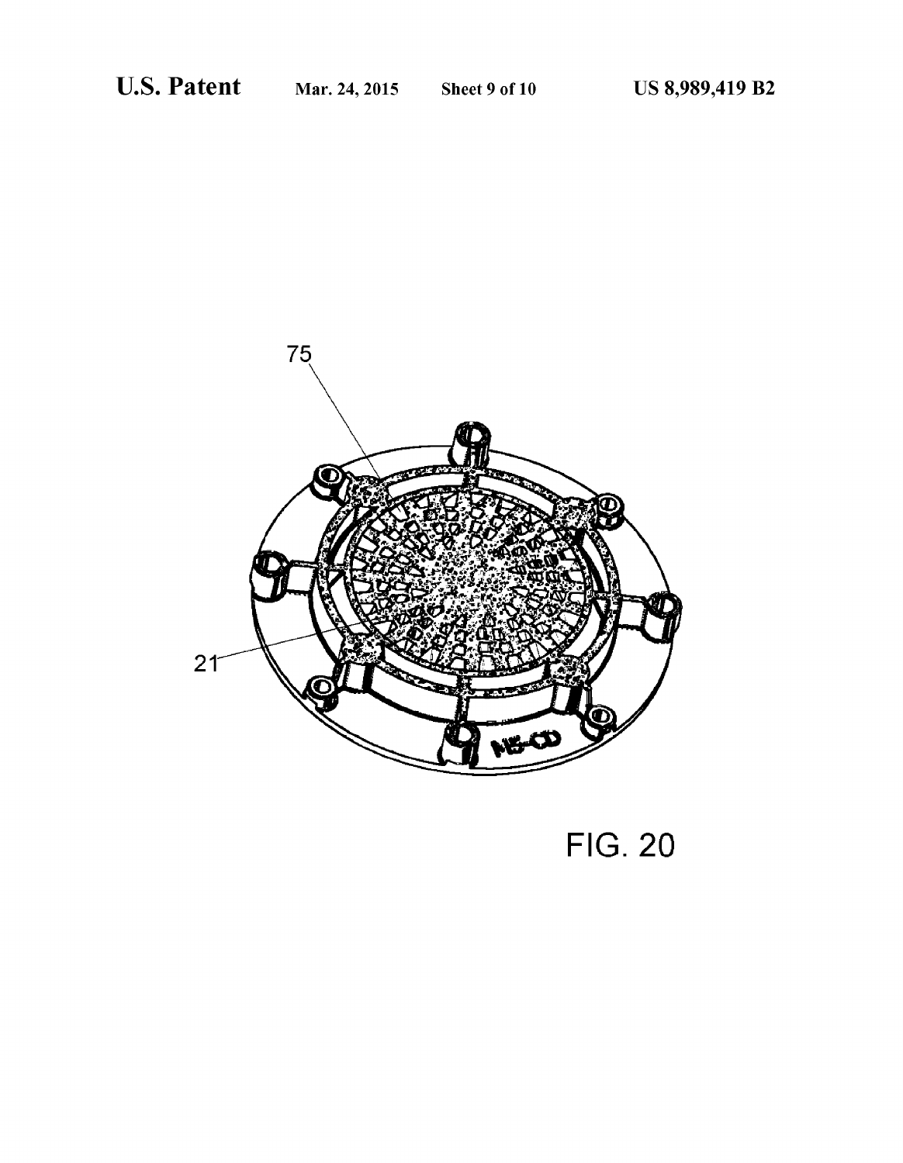

# **FIG. 20**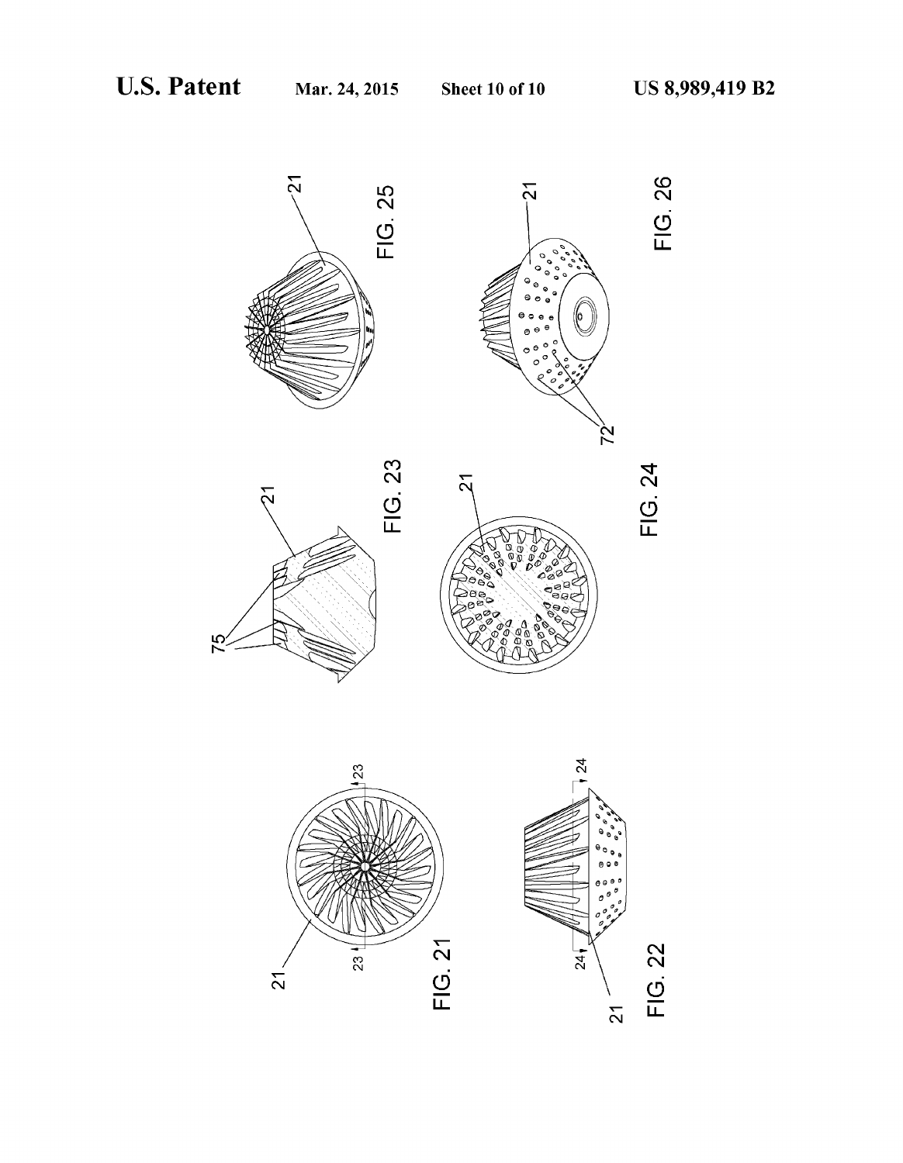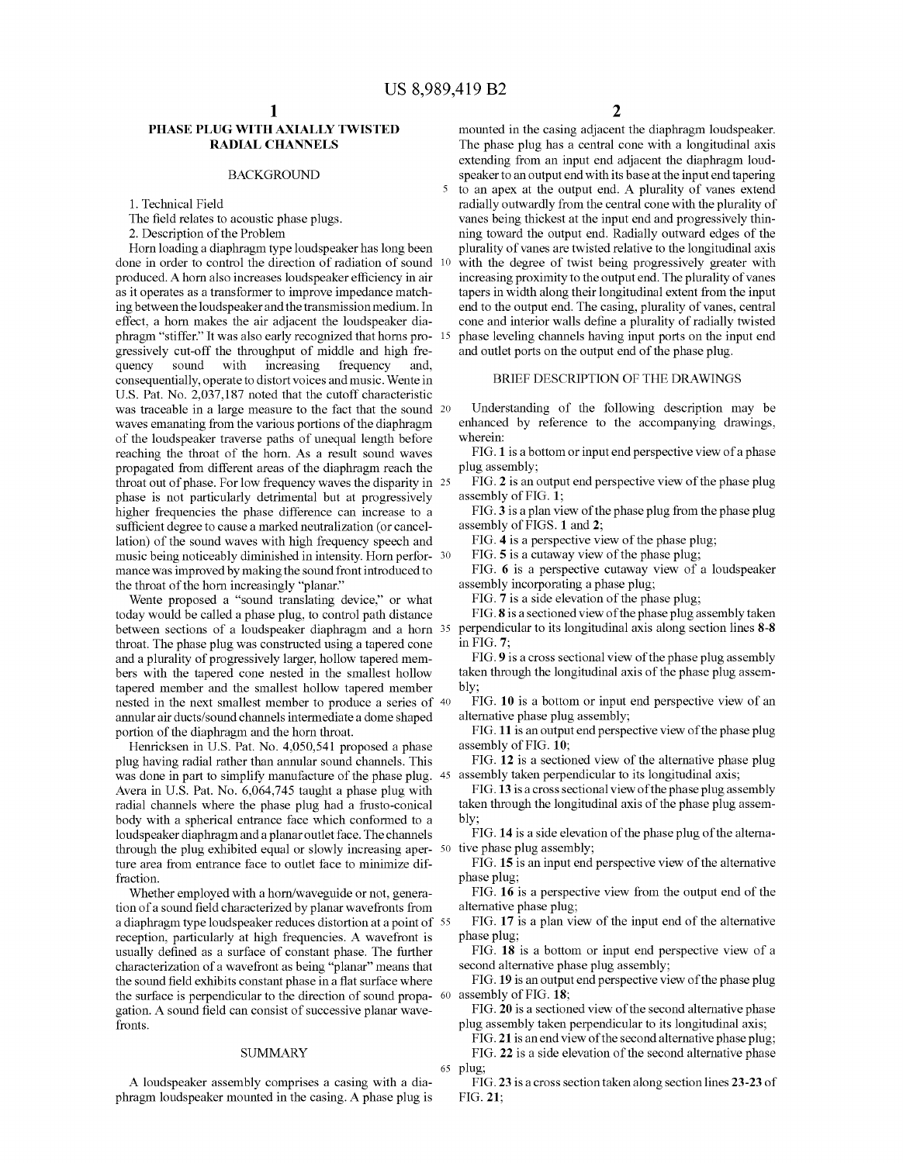5

# PHASE PLUG WITH AXIALLY TWISTED RADIAL CHANNELS

### BACKGROUND

1. Technical Field

The field relates to acoustic phase plugs.

2. Description of the Problem

Horn loading a diaphragm type loudspeaker has long been done in order to control the direction of radiation of sound 10 produced. A horn also increases loudspeaker efficiency in air as it operates as a transformer to improve impedance match ing between the loudspeaker and the transmission medium. In effect, a horn makes the air adjacent the loudspeaker dia phragm "stiffer." It was also early recognized that horns pro- 15 gressively cut-off the throughput of middle and high fre increasing frequency and, consequentially, operate to distort Voices and music. Wente in U.S. Pat. No. 2,037,187 noted that the cutoff characteristic was traceable in a large measure to the fact that the sound 20 waves emanating from the various portions of the diaphragm of the loudspeaker traverse paths of unequal length before reaching the throat of the horn. As a result sound waves propagated from different areas of the diaphragm reach the throat out of phase. For low frequency waves the disparity in 25 phase is not particularly detrimental but at progressively higher frequencies the phase difference can increase to a sufficient degree to cause a marked neutralization (or cancellation) of the sound waves with high frequency speech and music being noticeably diminished in intensity. Horn perfor- 30 mance was improved by making the sound front introduced to the throat of the horn increasingly "planar."

Wente proposed a "sound translating device." or what today would be called a phase plug, to control path distance between sections of a loudspeaker diaphragm and a horn 35 throat. The phase plug was constructed using a tapered cone and a plurality of progressively larger, hollow tapered mem bers with the tapered cone nested in the smallest hollow tapered member and the smallest hollow tapered member nested in the next Smallest member to produce a series of 40 annular air ducts/sound channels intermediate a dome shaped portion of the diaphragm and the horn throat.

Henricksen in U.S. Pat. No. 4,050,541 proposed a phase plug having radial rather than annular sound channels. This was done in part to simplify manufacture of the phase plug. 45 Avera in U.S. Pat. No. 6,064,745 taught a phase plug with radial channels where the phase plug had a frusto-conical body with a spherical entrance face which conformed to a loudspeaker diaphragm and a planar outlet face. The channels through the plug exhibited equal or slowly increasing aper- $50<sup>°</sup>$ ture area from entrance face to outlet face to minimize dif fraction.

Whether employed with a horn/waveguide or not, genera tion of a sound field characterized by planar wavefronts from a diaphragm type loudspeaker reduces distortion at a point of 55 reception, particularly at high frequencies. A wavefront is usually defined as a surface of constant phase. The further characterization of a wavefront as being "planar' means that the sound field exhibits constant phase in a flat surface where the surface is perpendicular to the direction of sound propa-  $60$  assembly of FIG. 18; gation. A sound field can consist of successive planar wavefronts.

### **SUMMARY**

A loudspeaker assembly comprises a casing with a dia phragm loudspeaker mounted in the casing. A phase plug is 2

mounted in the casing adjacent the diaphragm loudspeaker. The phase plug has a central cone with a longitudinal axis extending from an input end adjacent the diaphragm loud speaker to an output end with its base at the input end tapering to an apex at the output end. A plurality of Vanes extend radially outwardly from the central cone with the plurality of vanes being thickest at the input end and progressively thinning toward the output end. Radially outward edges of the plurality of vanes are twisted relative to the longitudinal axis with the degree of twist being progressively greater with increasing proximity to the output end. The plurality of vanes tapers in width along their longitudinal extent from the input end to the output end. The casing, plurality of Vanes, central cone and interior walls define a plurality of radially twisted phase leveling channels having input ports on the input end and outlet ports on the output end of the phase plug.

## BRIEF DESCRIPTION OF THE DRAWINGS

Understanding of the following description may be enhanced by reference to the accompanying drawings, wherein:

FIG. 1 is a bottom or input end perspective view of a phase plug assembly:

FIG. 2 is an output end perspective view of the phase plug assembly of FIG. 1;

FIG.3 is a plan view of the phase plug from the phase plug assembly of FIGS. 1 and 2:

FIG. 4 is a perspective view of the phase plug;

FIG. 5 is a cutaway view of the phase plug;<br>FIG. 6 is a perspective cutaway view of a loudspeaker assembly incorporating a phase plug;

FIG. 7 is a side elevation of the phase plug;

FIG. 8 is a sectioned view of the phase plug assembly taken perpendicular to its longitudinal axis along section lines 8-8 in FIG. 7;<br>FIG. 9 is a cross sectional view of the phase plug assembly

taken through the longitudinal axis of the phase plug assembly:

FIG. 10 is a bottom or input end perspective view of an alternative phase plug assembly;

FIG. 11 is an output end perspective view of the phase plug

assembly of FIG. 10;<br>FIG. 12 is a sectioned view of the alternative phase plug assembly taken perpendicular to its longitudinal axis;

FIG.13 is a cross sectional view of the phase plug assembly taken through the longitudinal axis of the phase plug assem bly:

FIG. 14 is a side elevation of the phase plug of the alterna tive phase plug assembly:

FIG. 15 is an input end perspective view of the alternative phase plug;

FIG. 16 is a perspective view from the output end of the alternative phase plug;

FIG. 17 is a plan view of the input end of the alternative phase plug;

FIG. 18 is a bottom or input end perspective view of a second alternative phase plug assembly:

FIG. 19 is an output end perspective view of the phase plug

FIG. 20 is a sectioned view of the second alternative phase plug assembly taken perpendicular to its longitudinal axis;

65 plug; FIG.21 is an end view of the second alternative phase plug; FIG. 22 is a side elevation of the second alternative phase

FIG.23 is a cross section taken along section lines 23-23 of FIG. 21;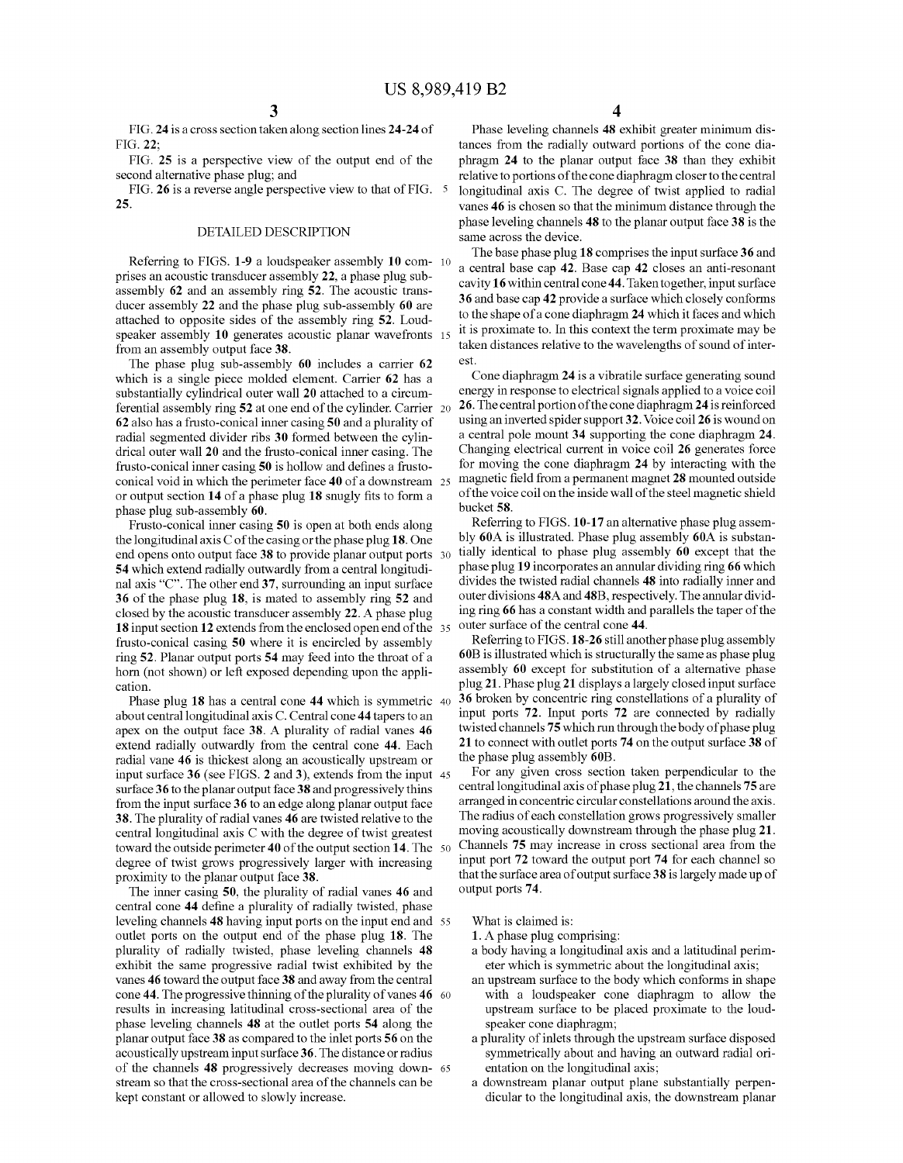FIG.24 is a cross section taken along section lines 24-24 of FIG.22;

FIG. 25 is a perspective view of the output end of the second alternative phase plug; and

FIG. 26 is a reverse angle perspective view to that of FIG. 25.

## DETAILED DESCRIPTION

Referring to FIGS. 1-9 a loudspeaker assembly 10 com- 10 prises an acoustic transducer assembly 22, a phase plug subassembly 62 and an assembly ring 52. The acoustic trans ducer assembly 22 and the phase plug sub-assembly 60 are attached to opposite sides of the assembly ring 52. Loud speaker assembly 10 generates acoustic planar wavefronts 15 from an assembly output face 38.

The phase plug sub-assembly 60 includes a carrier 62 which is a single piece molded element. Carrier 62 has a substantially cylindrical outer wall 20 attached to a circum ferential assembly ring 52 at one end of the cylinder. Carrier 62 also has a frusto-conical inner casing 50 and a plurality of radial segmented divider ribs 30 formed between the cylin drical outer wall 20 and the frusto-conical inner casing. The frusto-conical inner casing 50 is hollow and defines a frusto conical void in which the perimeter face 40 of a downstream 25 or output section 14 of a phase plug 18 Snugly fits to form a phase plug sub-assembly 60.

Frusto-conical inner casing 50 is open at both ends along the longitudinal axis C of the casing or the phase plug 18. One end opens onto output face 38 to provide planar output ports 30 54 which extend radially outwardly from a central longitudi nal axis "C". The other end 37, surrounding an input surface 36 of the phase plug 18, is mated to assembly ring 52 and closed by the acoustic transducer assembly 22. A phase plug 18 input section 12 extends from the enclosed open end of the 35 frusto-conical casing 50 where it is encircled by assembly ring 52. Planar output ports 54 may feed into the throat of a horn (not shown) or left exposed depending upon the appli cation.

Phase plug 18 has a central cone 44 which is symmetric 40 about central longitudinal axis C. Central cone 44 tapers to an apex on the output face 38. A plurality of radial vanes 46 extend radially outwardly from the central cone 44. Each radial vane 46 is thickest along an acoustically upstream or surface 36 to the planar output face 38 and progressively thins from the input Surface 36 to an edge along planar output face 38. The plurality of radial vanes 46 are twisted relative to the central longitudinal axis C with the degree of twist greatest toward the outside perimeter 40 of the output section 14. The 50 degree of twist grows progressively larger with increasing proximity to the planar output face 38. input surface 36 (see FIGS. 2 and 3), extends from the input 45

The inner casing 50, the plurality of radial vanes 46 and central cone 44 define a plurality of radially twisted, phase central cone 44 define a plurality of radially twisted, phase leveling channels 48 having input ports on the input end and 55 outlet ports on the output end of the phase plug 18. The plurality of radially twisted, phase leveling channels 48 exhibit the same progressive radial twist exhibited by the vanes 46 toward the output face 38 and away from the central cone 44. The progressive thinning of the plurality of vanes  $46\quad 60$ results in increasing latitudinal cross-sectional area of the phase leveling channels 48 at the outlet ports 54 along the planar output face 38 as compared to the inlet ports 56 on the acoustically upstream input Surface 36. The distance or radius of the channels 48 progressively decreases moving down stream so that the cross-sectional area of the channels can be kept constant or allowed to slowly increase. 65

Phase leveling channels 48 exhibit greater minimum dis tances from the radially outward portions of the cone dia phragm 24 to the planar output face 38 than they exhibit relative to portions of the cone diaphragm closer to the central longitudinal axis C. The degree of twist applied to radial Vanes 46 is chosen so that the minimum distance through the phase leveling channels 48 to the planar output face 38 is the same across the device.

The base phase plug 18 comprises the input surface 36 and a central base cap 42. Base cap 42 closes an anti-resonant cavity 16 within central cone 44. Taken together, input surface 36 and base cap 42 provide a surface which closely conforms to the shape of a cone diaphragm 24 which it faces and which it is proximate to. In this context the term proximate may be taken distances relative to the wavelengths of sound of intereSt.

Cone diaphragm 24 is a vibratile surface generating sound energy in response to electrical signals applied to a Voice coil 26. The central portion of the cone diaphragm 24 is reinforced using an inverted spider support 32. Voice coil 26 is wound on a central pole mount 34 Supporting the cone diaphragm 24. Changing electrical current in Voice coil 26 generates force for moving the cone diaphragm 24 by interacting with the magnetic field from a permanent magnet 28 mounted outside of the voice coil on the inside wall of the steel magnetic shield bucket 58.

Referring to FIGS. 10-17 an alternative phase plug assem bly 60A is illustrated. Phase plug assembly 60A is substan tially identical to phase plug assembly 60 except that the phase plug 19 incorporates an annular dividing ring 66 which divides the twisted radial channels 48 into radially inner and outer divisions 48A and 48B, respectively. The annular divid ing ring 66 has a constant width and parallels the taper of the outer surface of the central cone 44.

Referring to FIGS. 18-26 still another phase plug assembly 60B is illustrated which is structurally the same as phase plug<br>assembly 60 except for substitution of a alternative phase plug 21. Phase plug 21 displays a largely closed input surface 36 broken by concentric ring constellations of a plurality of input ports 72. Input ports 72 are connected by radially twisted channels 75 which run through the body of phase plug 21 to connect with outlet ports 74 on the output surface 38 of the phase plug assembly 60B.

For any given cross section taken perpendicular to the central longitudinal axis of phase plug 21, the channels 75 are arranged in concentric circular constellations around the axis. The radius of each constellation grows progressively smaller moving acoustically downstream through the phase plug 21. Channels 75 may increase in cross sectional area from the input port 72 toward the output port 74 for each channel so that the surface area of output surface 38 is largely made up of output ports 74.

## What is claimed is:

1. A phase plug comprising:

- a body having a longitudinal axis and a latitudinal perim eter which is symmetric about the longitudinal axis;
- with a loudspeaker cone diaphragm to allow the upstream surface to be placed proximate to the loudspeaker cone diaphragm;
- a plurality of inlets through the upstream Surface disposed symmetrically about and having an outward radial ori entation on the longitudinal axis;
- a downstream planar output plane substantially perpendicular to the longitudinal axis, the downstream planar